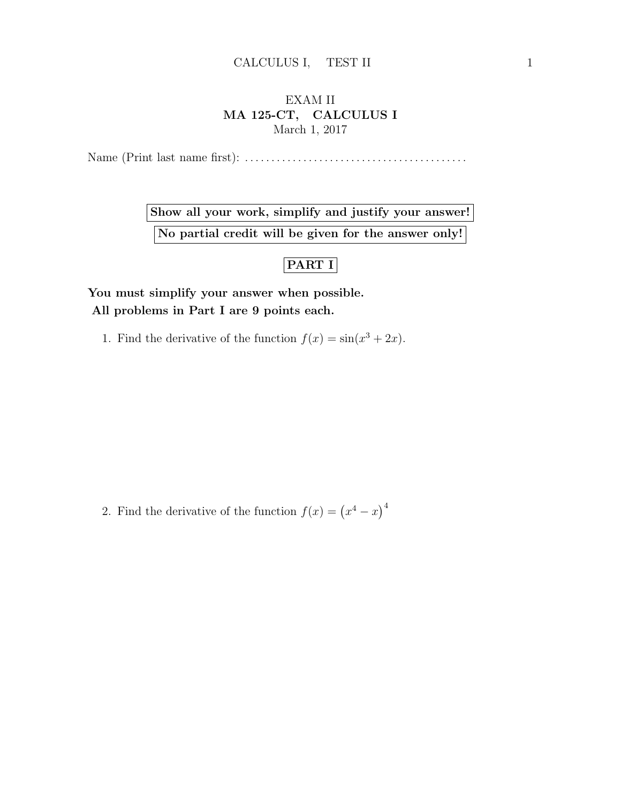## EXAM II MA 125-CT, CALCULUS I March 1, 2017

Name (Print last name first): . . . . . . . . . . . . . . . . . . . . . . . . . . . . . . . . . . . . . . . . . .

Show all your work, simplify and justify your answer! No partial credit will be given for the answer only!

## PART I

You must simplify your answer when possible. All problems in Part I are 9 points each.

1. Find the derivative of the function  $f(x) = \sin(x^3 + 2x)$ .

2. Find the derivative of the function  $f(x) = (x^4 - x)^4$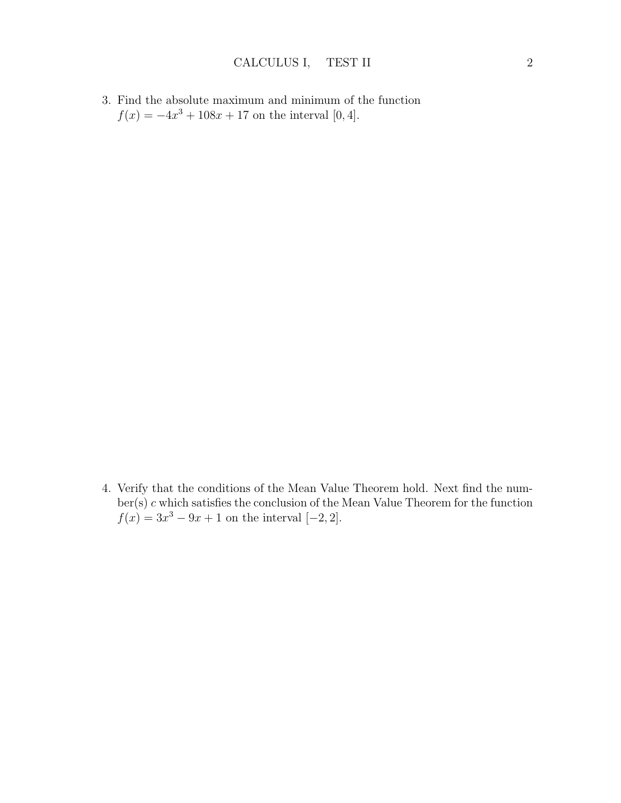3. Find the absolute maximum and minimum of the function  $f(x) = -4x^3 + 108x + 17$  on the interval [0, 4].

4. Verify that the conditions of the Mean Value Theorem hold. Next find the number(s) c which satisfies the conclusion of the Mean Value Theorem for the function  $f(x) = 3x^3 - 9x + 1$  on the interval  $[-2, 2]$ .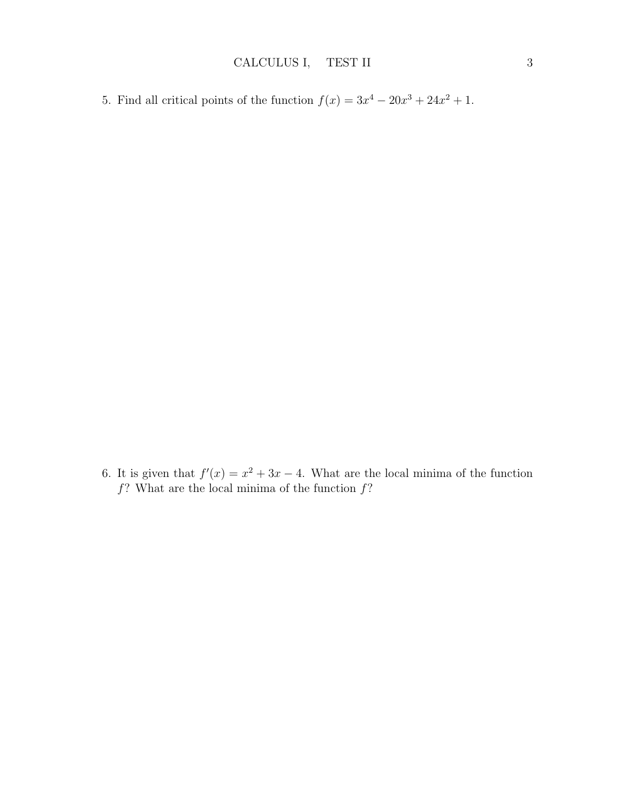5. Find all critical points of the function  $f(x) = 3x^4 - 20x^3 + 24x^2 + 1$ .

6. It is given that  $f'(x) = x^2 + 3x - 4$ . What are the local minima of the function  $f$ ? What are the local minima of the function  $f$ ?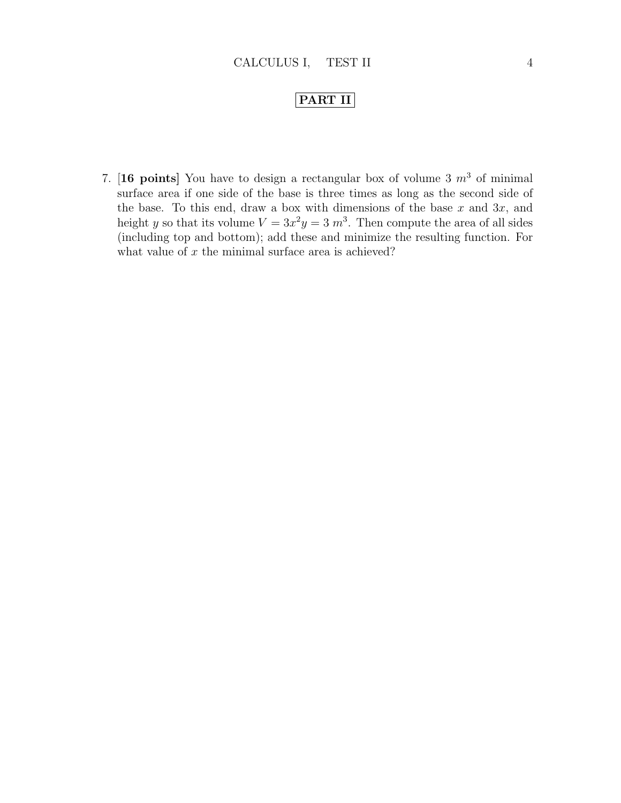## PART II

7. [16 points] You have to design a rectangular box of volume 3  $m<sup>3</sup>$  of minimal surface area if one side of the base is three times as long as the second side of the base. To this end, draw a box with dimensions of the base  $x$  and  $3x$ , and height y so that its volume  $V = 3x^2y = 3$  m<sup>3</sup>. Then compute the area of all sides (including top and bottom); add these and minimize the resulting function. For what value of  $x$  the minimal surface area is achieved?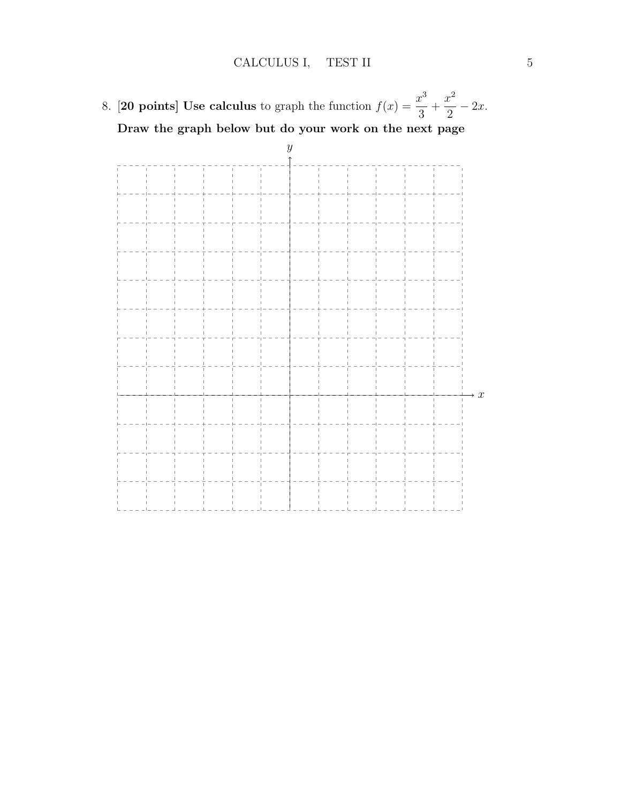8. **[20 points] Use calculus** to graph the function  $f(x) = \frac{x^3}{2}$ 3  $+$  $x^2$ 2  $-2x$ . Draw the graph below but do your work on the next page

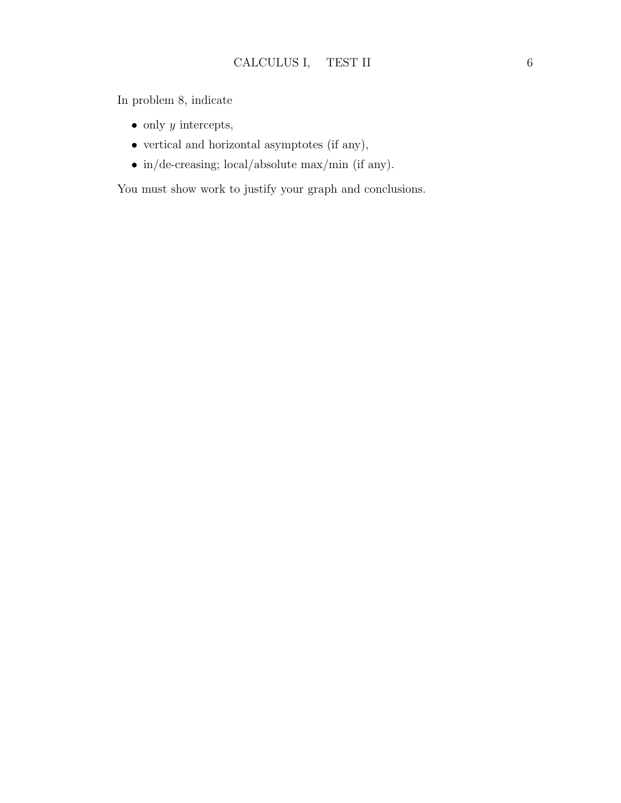In problem 8, indicate

- only  $y$  intercepts,
- vertical and horizontal asymptotes (if any),
- $\bullet\,$  in/de-creasing; local/absolute max/min (if any).

You must show work to justify your graph and conclusions.